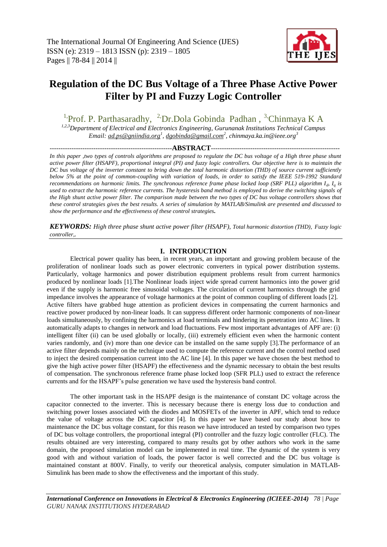

# **Regulation of the DC Bus Voltage of a Three Phase Active Power Filter by PI and Fuzzy Logic Controller**

<sup>1</sup>Prof. P. Parthasaradhy, <sup>2</sup>Dr.Dola Gobinda Padhan, <sup>3</sup>Chinmaya K A

*1,2,3Department of Electrical and Electronics Engineering, Gurunanak Institutions Technical Campus Email: [ad.ps@gniindia.org](mailto:ad.ps@gniindia.org)<sup>1</sup> , [dgobinda@gmail.com](mailto:dgobinda@gmail.com)<sup>2</sup> , chinmaya.ka.in@ieee.org<sup>3</sup>*

*--------------------------------------------------------***ABSTRACT***-----------------------------------------------------------*

*In this paper ,two types of controls algorithms are proposed to regulate the DC bus voltage of a High three phase shunt active power filter (HSAPF), proportional integral (PI) and fuzzy logic controllers. Our objective here is to maintain the DC bus voltage of the inverter constant to bring down the total harmonic distortion (THD) of source current sufficiently below 5% at the point of common-coupling with variation of loads, in order to satisfy the IEEE 519-1992 Standard recommendations on harmonic limits. The synchronous reference frame phase locked loop (SRF PLL) algorithm I<sup>d</sup> , I<sup>q</sup> is used to extract the harmonic reference currents. The hysteresis band method is employed to derive the switching signals of the High shunt active power filter. The comparison made between the two types of DC bus voltage controllers shows that these control strategies gives the best results. A series of simulation by MATLAB/Simulink are presented and discussed to show the performance and the effectiveness of these control strategies.*

*KEYWORDS: High three phase shunt active power filter (HSAPF), Total harmonic distortion (THD), Fuzzy logic controller,.* 

# **I. INTRODUCTION**

Electrical power quality has been, in recent years, an important and growing problem because of the proliferation of nonlinear loads such as power electronic converters in typical power distribution systems. Particularly, voltage harmonics and power distribution equipment problems result from current harmonics produced by nonlinear loads [1].The Nonlinear loads inject wide spread current harmonics into the power grid even if the supply is harmonic free sinusoidal voltages. The circulation of current harmonics through the grid impedance involves the appearance of voltage harmonics at the point of common coupling of different loads [2]. Active filters have grabbed huge attention as proficient devices in compensating the current harmonics and reactive power produced by non-linear loads. It can suppress different order harmonic components of non-linear loads simultaneously, by confining the harmonics at load terminals and hindering its penetration into AC lines. It automatically adapts to changes in network and load fluctuations. Few most important advantages of APF are: (i) intelligent filter (ii) can be used globally or locally, (iii) extremely efficient even when the harmonic content varies randomly, and (iv) more than one device can be installed on the same supply [3].The performance of an active filter depends mainly on the technique used to compute the reference current and the control method used to inject the desired compensation current into the AC line [4]. In this paper we have chosen the best method to give the high active power filter (HSAPF) the effectiveness and the dynamic necessary to obtain the best results of compensation. The synchronous reference frame phase locked loop (SFR PLL) used to extract the reference currents and for the HSAPF's pulse generation we have used the hysteresis band control.

The other important task in the HSAPF design is the maintenance of constant DC voltage across the capacitor connected to the inverter. This is necessary because there is energy loss due to conduction and switching power losses associated with the diodes and MOSFETs of the inverter in APF, which tend to reduce the value of voltage across the DC capacitor [4]. In this paper we have based our study about how to maintenance the DC bus voltage constant, for this reason we have introduced an tested by comparison two types of DC bus voltage controllers, the proportional integral (PI) controller and the fuzzy logic controller (FLC). The results obtained are very interesting, compared to many results got by other authors who work in the same domain, the proposed simulation model can be implemented in real time. The dynamic of the system is very good with and without variation of loads, the power factor is well corrected and the DC bus voltage is maintained constant at 800V. Finally, to verify our theoretical analysis, computer simulation in MATLAB-Simulink has been made to show the effectiveness and the important of this study.

*International Conference on Innovations in Electrical & Electronics Engineering (ICIEEE-2014) 78 | Page GURU NANAK INSTITUTIONS HYDERABAD*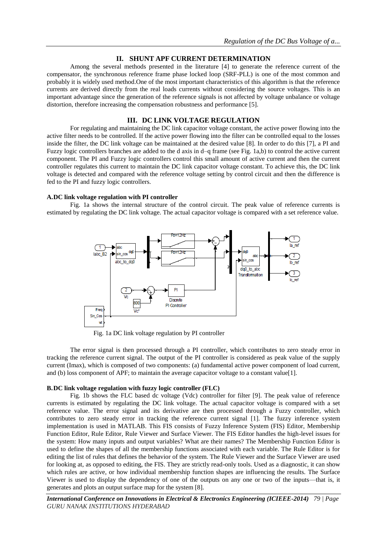### **II. SHUNT APF CURRENT DETERMINATION**

Among the several methods presented in the literature [4] to generate the reference current of the compensator, the synchronous reference frame phase locked loop (SRF-PLL) is one of the most common and probably it is widely used method.One of the most important characteristics of this algorithm is that the reference currents are derived directly from the real loads currents without considering the source voltages. This is an important advantage since the generation of the reference signals is not affected by voltage unbalance or voltage distortion, therefore increasing the compensation robustness and performance [5].

## **III. DC LINK VOLTAGE REGULATION**

For regulating and maintaining the DC link capacitor voltage constant, the active power flowing into the active filter needs to be controlled. If the active power flowing into the filter can be controlled equal to the losses inside the filter, the DC link voltage can be maintained at the desired value [8]. In order to do this [7], a PI and Fuzzy logic controllers branches are added to the d axis in d–q frame (see Fig. 1a,b) to control the active current component. The PI and Fuzzy logic controllers control this small amount of active current and then the current controller regulates this current to maintain the DC link capacitor voltage constant. To achieve this, the DC link voltage is detected and compared with the reference voltage setting by control circuit and then the difference is fed to the PI and fuzzy logic controllers.

#### **A.DC link voltage regulation with PI controller**

Fig. 1a shows the internal structure of the control circuit. The peak value of reference currents is estimated by regulating the DC link voltage. The actual capacitor voltage is compared with a set reference value.



Fig. 1a DC link voltage regulation by PI controller

The error signal is then processed through a PI controller, which contributes to zero steady error in tracking the reference current signal. The output of the PI controller is considered as peak value of the supply current (Imax), which is composed of two components: (a) fundamental active power component of load current, and (b) loss component of APF; to maintain the average capacitor voltage to a constant value[1].

#### **B.DC link voltage regulation with fuzzy logic controller (FLC)**

Fig. 1b shows the FLC based dc voltage (Vdc) controller for filter [9]. The peak value of reference currents is estimated by regulating the DC link voltage. The actual capacitor voltage is compared with a set reference value. The error signal and its derivative are then processed through a Fuzzy controller, which contributes to zero steady error in tracking the reference current signal [1]. The fuzzy inference system implementation is used in MATLAB. This FIS consists of Fuzzy Inference System (FIS) Editor, Membership Function Editor, Rule Editor, Rule Viewer and Surface Viewer. The FIS Editor handles the high-level issues for the system: How many inputs and output variables? What are their names? The Membership Function Editor is used to define the shapes of all the membership functions associated with each variable. The Rule Editor is for editing the list of rules that defines the behavior of the system. The Rule Viewer and the Surface Viewer are used for looking at, as opposed to editing, the FIS. They are strictly read-only tools. Used as a diagnostic, it can show which rules are active, or how individual membership function shapes are influencing the results. The Surface Viewer is used to display the dependency of one of the outputs on any one or two of the inputs—that is, it generates and plots an output surface map for the system [8].

*International Conference on Innovations in Electrical & Electronics Engineering (ICIEEE-2014) 79 | Page GURU NANAK INSTITUTIONS HYDERABAD*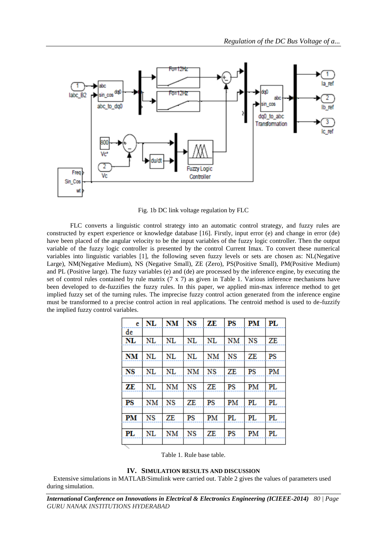

Fig. 1b DC link voltage regulation by FLC

FLC converts a linguistic control strategy into an automatic control strategy, and fuzzy rules are constructed by expert experience or knowledge database [16]. Firstly, input error (e) and change in error (de) have been placed of the angular velocity to be the input variables of the fuzzy logic controller. Then the output variable of the fuzzy logic controller is presented by the control Current Imax. To convert these numerical variables into linguistic variables [1], the following seven fuzzy levels or sets are chosen as: NL(Negative Large), NM(Negative Medium), NS (Negative Small), ZE (Zero), PS(Positive Small), PM(Positive Medium) and PL (Positive large). The fuzzy variables (e) and (de) are processed by the inference engine, by executing the set of control rules contained by rule matrix (7 x 7) as given in Table 1. Various inference mechanisms have been developed to de-fuzzifies the fuzzy rules. In this paper, we applied min-max inference method to get implied fuzzy set of the turning rules. The imprecise fuzzy control action generated from the inference engine must be transformed to a precise control action in real applications. The centroid method is used to de-fuzzify the implied fuzzy control variables.

| e         | NL | <b>NM</b>   | NS | ZE | PS | PM | PL |
|-----------|----|-------------|----|----|----|----|----|
| de        |    |             |    |    |    |    |    |
| NL        | NL | NL          | NL | NL | NM | NS | ZE |
|           |    |             |    |    |    |    |    |
| <b>NM</b> | NL | NL          | NL | NM | NS | ZΕ | PS |
|           |    |             |    |    |    |    |    |
| NS        | NL | NL          | NM | NS | ZE | PS | PM |
|           |    |             |    |    |    |    |    |
| ZE        | NL | NM          | NS | ZE | PS | PM | PL |
|           |    |             |    |    |    |    |    |
| PS        | NΜ | NS          | ZE | PS | PM | PL | PL |
|           |    |             |    |    |    |    |    |
| PM        | NS | ZE          | PS | PM | PL | PL | PL |
|           |    |             |    |    |    |    |    |
| PL        | NL | $_{\rm NM}$ | NS | ZE | PS | PM | PL |
|           |    |             |    |    |    |    |    |

Table 1. Rule base table.

# **IV. SIMULATION RESULTS AND DISCUSSION**

Extensive simulations in MATLAB/Simulink were carried out. Table 2 gives the values of parameters used during simulation.

*International Conference on Innovations in Electrical & Electronics Engineering (ICIEEE-2014) 80 | Page GURU NANAK INSTITUTIONS HYDERABAD*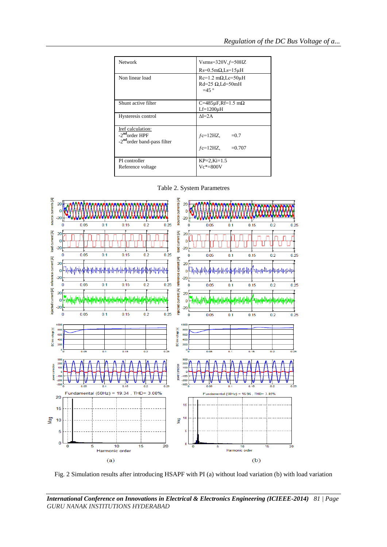| Network                                                                                    | $Vsms=320V,f=50HZ$<br>$Rs=0.5m\Omega$ , Ls=15uH                            |  |  |  |
|--------------------------------------------------------------------------------------------|----------------------------------------------------------------------------|--|--|--|
| Non linear load                                                                            | $Rc=1.2$ m $\Omega$ , Lc=50 $\mu$ H<br>$Rd=25 \Omega$ , Ld=50mH<br>$=45$ ° |  |  |  |
| Shunt active filter                                                                        | C=485 $\mu$ F,Rf=1.5 m $\Omega$<br>$Lf=1200\mu H$                          |  |  |  |
| Hysteresis control                                                                         | $\Lambda$ I=2A                                                             |  |  |  |
| Iref calculation:<br>-2 <sup>nd</sup> order HPF<br>-2 <sup>nd</sup> order band-pass filter | $fc=12HZ$<br>$=0.7$<br>$fc=12HZ$<br>$=0.707$                               |  |  |  |
| PI controller<br>Reference voltage                                                         | $KP=2, Ki=1.5$<br>$Ve* = 800V$                                             |  |  |  |

Table 2. System Parametres



Fig. 2 Simulation results after introducing HSAPF with PI (a) without load variation (b) with load variation

*International Conference on Innovations in Electrical & Electronics Engineering (ICIEEE-2014) 81 | Page GURU NANAK INSTITUTIONS HYDERABAD*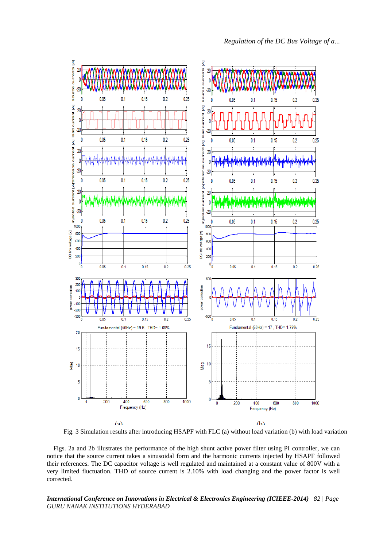

Fig. 3 Simulation results after introducing HSAPF with FLC (a) without load variation (b) with load variation

Figs. 2a and 2b illustrates the performance of the high shunt active power filter using PI controller, we can notice that the source current takes a sinusoidal form and the harmonic currents injected by HSAPF followed their references. The DC capacitor voltage is well regulated and maintained at a constant value of 800V with a very limited fluctuation. THD of source current is 2.10% with load changing and the power factor is well corrected.

*International Conference on Innovations in Electrical & Electronics Engineering (ICIEEE-2014) 82 | Page GURU NANAK INSTITUTIONS HYDERABAD*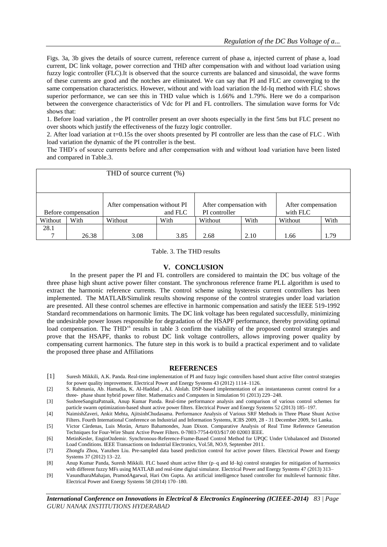Figs. 3a, 3b gives the details of source current, reference current of phase a, injected current of phase a, load current, DC link voltage, power correction and THD after compensation with and without load variation using fuzzy logic controller (FLC).It is observed that the source currents are balanced and sinusoidal, the wave forms of these currents are good and the notches are eliminated. We can say that PI and FLC are converging to the same compensation characteristics. However, without and with load variation the Id-Iq method with FLC shows superior performance, we can see this in THD value which is 1.66% and 1.79%. Here we do a comparison between the convergence characteristics of Vdc for PI and FL controllers. The simulation wave forms for Vdc shows that:

1. Before load variation , the PI controller present an over shoots especially in the first 5ms but FLC present no over shoots which justify the effectiveness of the fuzzy logic controller.

2. After load variation at t=0.15s the over shoots presented by PI controller are less than the case of FLC . With load variation the dynamic of the PI controller is the best.

The THD's of source currents before and after compensation with and without load variation have been listed and compared in Table.3.

| THD of source current (%) |       |                                          |      |                                          |      |                                |      |
|---------------------------|-------|------------------------------------------|------|------------------------------------------|------|--------------------------------|------|
|                           |       |                                          |      |                                          |      |                                |      |
| Before compensation       |       | After compensation without PI<br>and FLC |      | After compensation with<br>PI controller |      | After compensation<br>with FLC |      |
| Without                   | With  | Without                                  | With | Without                                  | With | Without                        | With |
| 28.1                      |       |                                          |      |                                          |      |                                |      |
|                           | 26.38 | 3.08                                     | 3.85 | 2.68                                     | 2.10 | 1.66                           | 1.79 |

Table. 3. The THD results

#### **V. CONCLUSION**

In the present paper the PI and FL controllers are considered to maintain the DC bus voltage of the three phase high shunt active power filter constant. The synchronous reference frame PLL algorithm is used to extract the harmonic reference currents. The control scheme using hysteresis current controllers has been implemented. The MATLAB/Simulink results showing response of the control strategies under load variation are presented. All these control schemes are effective in harmonic compensation and satisfy the IEEE 519-1992 Standard recommendations on harmonic limits. The DC link voltage has been regulated successfully, minimizing the undesirable power losses responsible for degradation of the HSAPF performance, thereby providing optimal load compensation. The THD<sup>3</sup> results in table 3 confirm the viability of the proposed control strategies and prove that the HSAPF, thanks to robust DC link voltage controllers, allows improving power quality by compensating current harmonics. The future step in this work is to build a practical experiment and to validate the proposed three phase and Affiliations

#### **REFERENCES**

- [1] Suresh Mikkili, A.K. Panda. Real-time implementation of PI and fuzzy logic controllers based shunt active filter control strategies for power quality improvement. Electrical Power and Energy Systems 43 (2012) 1114–1126.
- [2] S. Rahmania, Ab. Hamadia, K. Al-Haddad , A.I. Alolah. DSP-based implementation of an instantaneous current control for a three- phase shunt hybrid power filter. Mathematics and Computers in Simulation 91 (2013) 229–248.
- [3] SushreeSangitaPatnaik, Anup Kumar Panda. Real-time performance analysis and comparison of various control schemes for particle swarm optimization-based shunt active power filters. Electrical Power and Energy Systems 52 (2013) 185–197.
- [4] NaimishZaveri, Ankit Mehta, AjitsinhChudasama. Performance Analysis of Various SRF Methods in Three Phase Shunt Active Filters. Fourth International Conference on Industrial and Information Systems, ICIIS 2009, 28 - 31 December 2009, Sri Lanka.
- [5] Victor Càrdenas, Luis Moràn, Arturo Bahamondes, Juan Dixon. Comparative Analysis of Real Time Reference Generation Techniques for Four-Wire Shunt Active Power Filters. 0-7803-7754-0/03/\$17.00 02003 IEEE.
- [6] MetinKesler, EnginOzdemir. Synchronous-Reference-Frame-Based Control Method for UPQC Under Unbalanced and Distorted Load Conditions. IEEE Transactions on Industrial Electronics, Vol.58, NO.9, September 2011.
- [7] Zhongfu Zhou, Yanzhen Liu. Pre-sampled data based prediction control for active power filters. Electrical Power and Energy Systems 37 (2012) 13–22.
- [8] Anup Kumar Panda, Suresh Mikkili. FLC based shunt active filter (p–q and Id–Iq) control strategies for mitigation of harmonics with different fuzzy MFs using MATLAB and real-time digital simulator. Electrical Power and Energy Systems 47 (2013) 313–
- [9] VasundharaMahajan, PramodAgarwal, Hari Om Gupta. An artificial intelligence based controller for multilevel harmonic filter. Electrical Power and Energy Systems 58 (2014) 170–180.

*International Conference on Innovations in Electrical & Electronics Engineering (ICIEEE-2014) 83 | Page GURU NANAK INSTITUTIONS HYDERABAD*